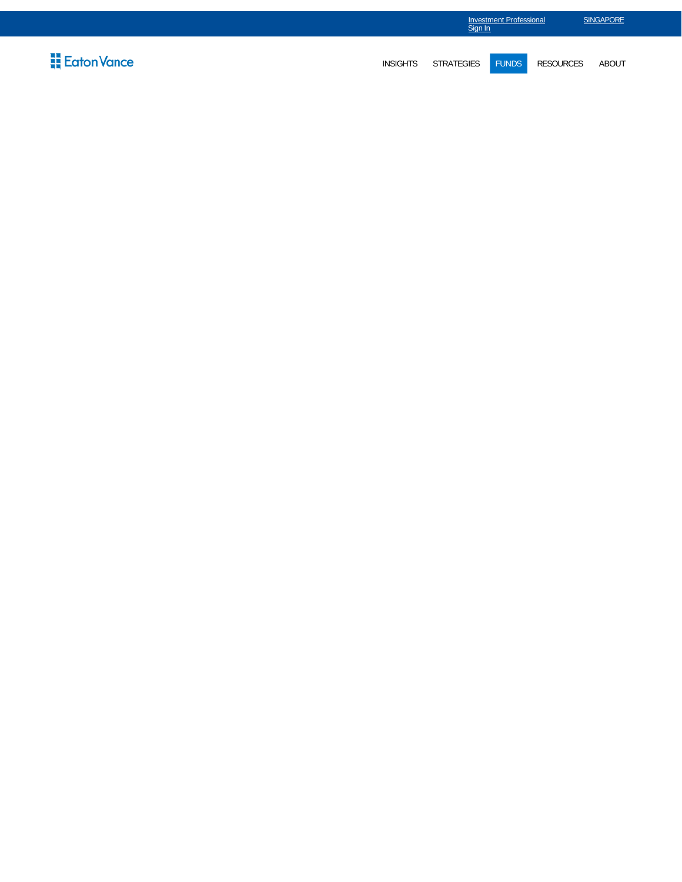|                             |                 | <b>Investment Professional</b><br>Sign In |              |                  | <b>SINGAPORE</b> |
|-----------------------------|-----------------|-------------------------------------------|--------------|------------------|------------------|
| $\frac{11}{11}$ Eaton Vance | <b>INSIGHTS</b> | <b>STRATEGIES</b>                         | <b>FUNDS</b> | <b>RESOURCES</b> | <b>ABOUT</b>     |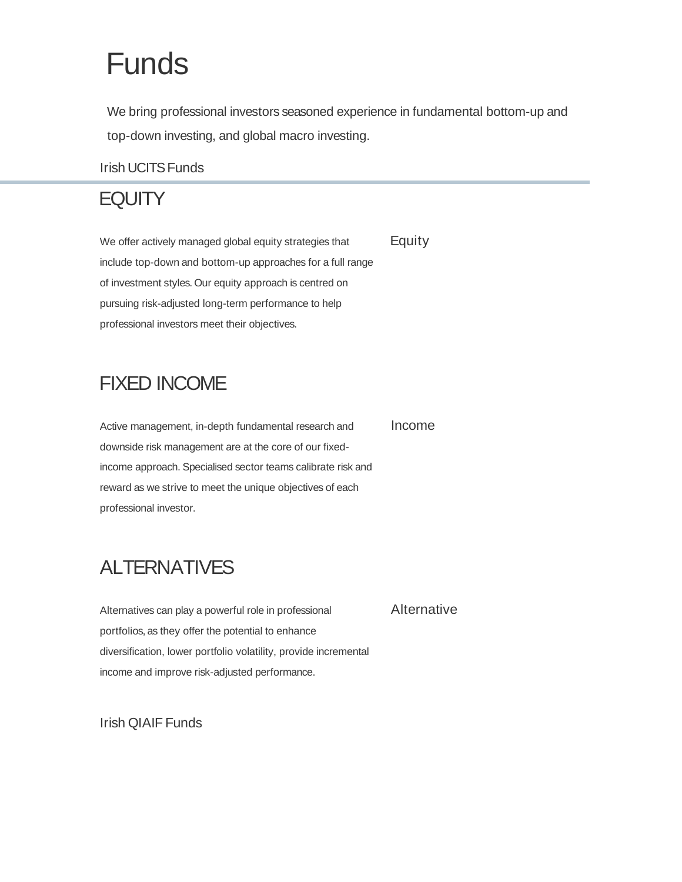# Funds

We bring professional investors seasoned experience in fundamental bottom-up and top-down investing, and global macro investing.

#### Irish UCITS Funds

## **EQUITY**

We offer actively managed global equity strategies that include top-down and bottom-up approaches for a full range of investment styles. Our equity approach is centred on pursuing risk-adjusted long-term performance to help professional investors meet their objectives. **Equity** 

## FIXED INCOME

Active management, in-depth fundamental research and downside risk management are at the core of our fixedincome approach. Specialised sector teams calibrate risk and reward as we strive to meet the unique objectives of each professional investor. Income

## ALTERNATIVES

Alternatives can play a powerful role in professional portfolios, as they offer the potential to enhance diversification, lower portfolio volatility, provide incremental income and improve risk-adjusted performance. Alternative

Irish QIAIF Funds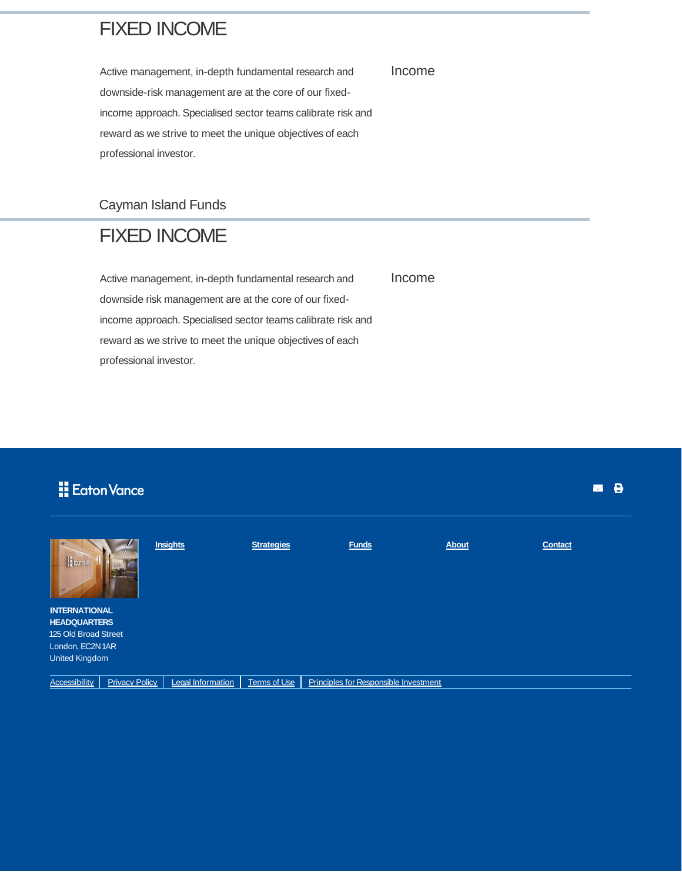#### FIXED INCOME

Active management, in-depth fundamental research and downside-risk management are at the core of our fixedincome approach. Specialised sector teams calibrate risk and reward as we strive to meet the unique objectives of each professional investor.

Cayman Island Funds

#### FIXED INCOME

Active management, in-depth fundamental research and downside risk management are at the core of our fixedincome approach. Specialised sector teams calibrate risk and reward as we strive to meet the unique objectives of each professional investor. Income

**H** Eaton Vance

| <b>H</b> Eoton                                                                                                   |                       | <b>Insights</b>          | <b>Strategies</b>   | <b>Funds</b>                          | <b>About</b> | <b>Contact</b> |
|------------------------------------------------------------------------------------------------------------------|-----------------------|--------------------------|---------------------|---------------------------------------|--------------|----------------|
| <b>INTERNATIONAL</b><br><b>HEADQUARTERS</b><br>125 Old Broad Street<br>London, EC2N 1AR<br><b>United Kingdom</b> |                       |                          |                     |                                       |              |                |
| <b>Accessibility</b>                                                                                             | <b>Privacy Policy</b> | <b>Legal Information</b> | <b>Terms of Use</b> | Principles for Responsible Investment |              |                |

Income

**. 8**